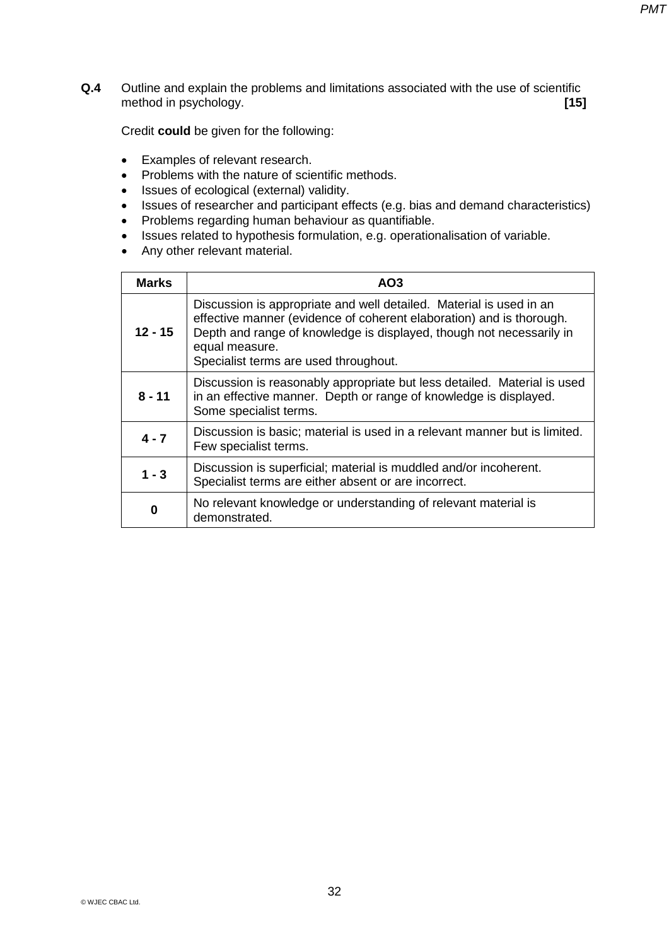**Q.4** Outline and explain the problems and limitations associated with the use of scientific method in psychology. **[15]** 

Credit **could** be given for the following:

- Examples of relevant research.
- Problems with the nature of scientific methods.
- Issues of ecological (external) validity.
- Issues of researcher and participant effects (e.g. bias and demand characteristics)
- Problems regarding human behaviour as quantifiable.
- Issues related to hypothesis formulation, e.g. operationalisation of variable.
- Any other relevant material.

| <b>Marks</b> | AO <sub>3</sub>                                                                                                                                                                                                                                                                |
|--------------|--------------------------------------------------------------------------------------------------------------------------------------------------------------------------------------------------------------------------------------------------------------------------------|
| $12 - 15$    | Discussion is appropriate and well detailed. Material is used in an<br>effective manner (evidence of coherent elaboration) and is thorough.<br>Depth and range of knowledge is displayed, though not necessarily in<br>equal measure.<br>Specialist terms are used throughout. |
| $8 - 11$     | Discussion is reasonably appropriate but less detailed. Material is used<br>in an effective manner. Depth or range of knowledge is displayed.<br>Some specialist terms.                                                                                                        |
| $4 - 7$      | Discussion is basic; material is used in a relevant manner but is limited.<br>Few specialist terms.                                                                                                                                                                            |
| $1 - 3$      | Discussion is superficial; material is muddled and/or incoherent.<br>Specialist terms are either absent or are incorrect.                                                                                                                                                      |
| 0            | No relevant knowledge or understanding of relevant material is<br>demonstrated.                                                                                                                                                                                                |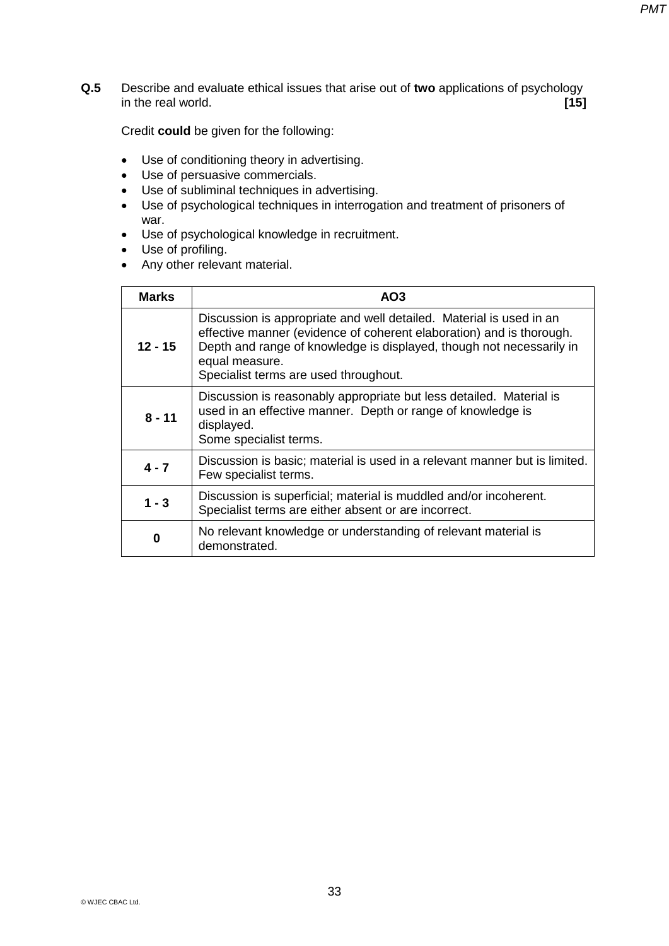**Q.5** Describe and evaluate ethical issues that arise out of **two** applications of psychology in the real world. **[15]**

Credit **could** be given for the following:

- Use of conditioning theory in advertising.
- Use of persuasive commercials.
- Use of subliminal techniques in advertising.
- Use of psychological techniques in interrogation and treatment of prisoners of war.
- Use of psychological knowledge in recruitment.
- Use of profiling.
- Any other relevant material.

| <b>Marks</b> | AO <sub>3</sub>                                                                                                                                                                                                                                                                |
|--------------|--------------------------------------------------------------------------------------------------------------------------------------------------------------------------------------------------------------------------------------------------------------------------------|
| $12 - 15$    | Discussion is appropriate and well detailed. Material is used in an<br>effective manner (evidence of coherent elaboration) and is thorough.<br>Depth and range of knowledge is displayed, though not necessarily in<br>equal measure.<br>Specialist terms are used throughout. |
| $8 - 11$     | Discussion is reasonably appropriate but less detailed. Material is<br>used in an effective manner. Depth or range of knowledge is<br>displayed.<br>Some specialist terms.                                                                                                     |
| $4 - 7$      | Discussion is basic; material is used in a relevant manner but is limited.<br>Few specialist terms.                                                                                                                                                                            |
| $1 - 3$      | Discussion is superficial; material is muddled and/or incoherent.<br>Specialist terms are either absent or are incorrect.                                                                                                                                                      |
| 0            | No relevant knowledge or understanding of relevant material is<br>demonstrated.                                                                                                                                                                                                |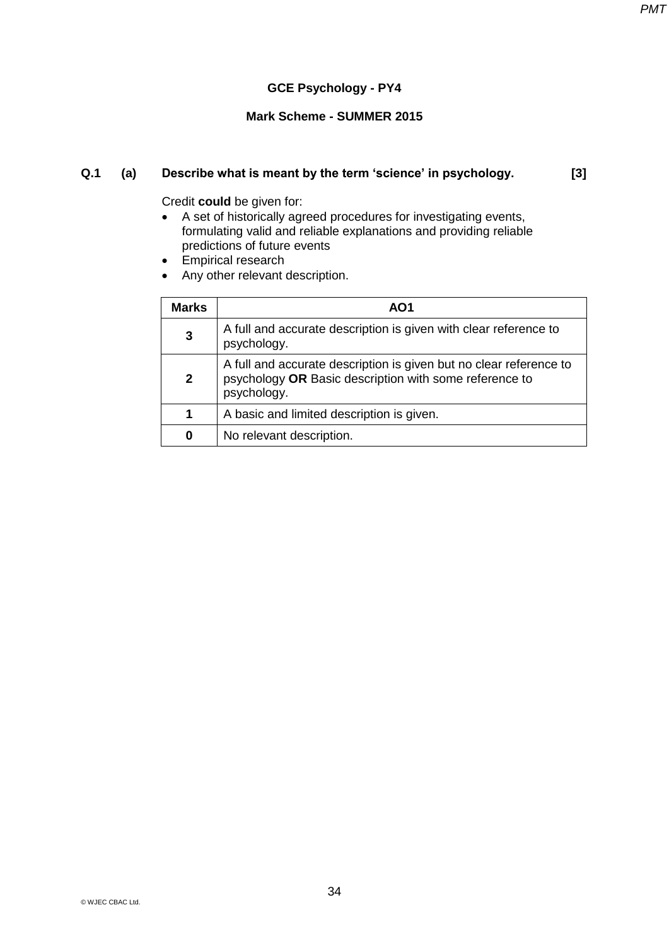### **GCE Psychology - PY4**

### **Mark Scheme - SUMMER 2015**

### **Q.1 (a) Describe what is meant by the term 'science' in psychology. [3]**

- A set of historically agreed procedures for investigating events, formulating valid and reliable explanations and providing reliable predictions of future events
- Empirical research
- Any other relevant description.

| <b>Marks</b> | AO1                                                                                                                                         |
|--------------|---------------------------------------------------------------------------------------------------------------------------------------------|
| 3            | A full and accurate description is given with clear reference to<br>psychology.                                                             |
| $\mathbf{2}$ | A full and accurate description is given but no clear reference to<br>psychology OR Basic description with some reference to<br>psychology. |
| 1            | A basic and limited description is given.                                                                                                   |
| 0            | No relevant description.                                                                                                                    |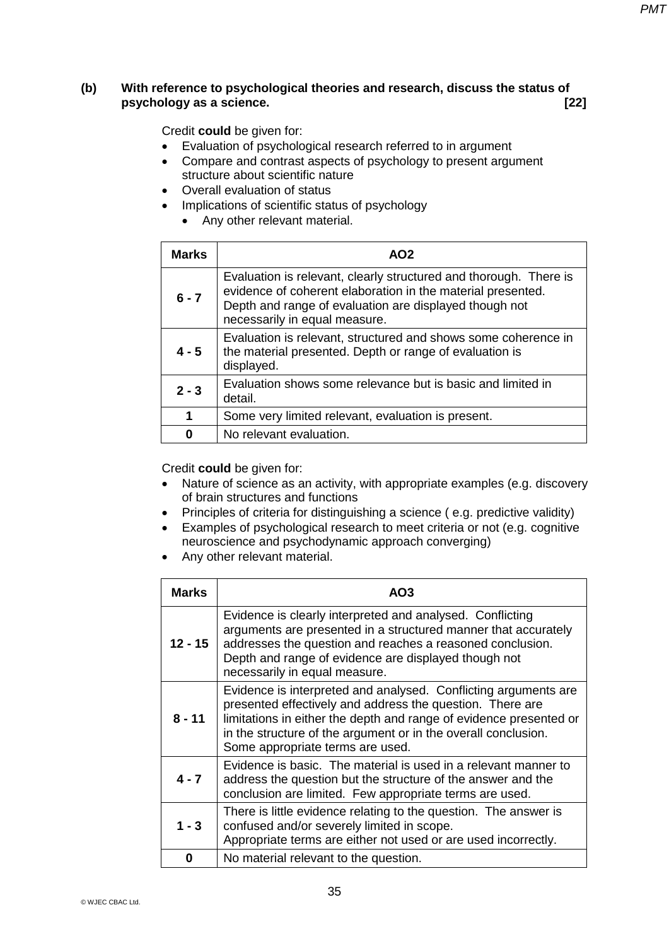### **(b) With reference to psychological theories and research, discuss the status of psychology as a science. [22]**

Credit **could** be given for:

- Evaluation of psychological research referred to in argument
- Compare and contrast aspects of psychology to present argument structure about scientific nature
- Overall evaluation of status
- Implications of scientific status of psychology
	- Any other relevant material.

| <b>Marks</b> | AO2                                                                                                                                                                                                                         |
|--------------|-----------------------------------------------------------------------------------------------------------------------------------------------------------------------------------------------------------------------------|
| $6 - 7$      | Evaluation is relevant, clearly structured and thorough. There is<br>evidence of coherent elaboration in the material presented.<br>Depth and range of evaluation are displayed though not<br>necessarily in equal measure. |
| $4 - 5$      | Evaluation is relevant, structured and shows some coherence in<br>the material presented. Depth or range of evaluation is<br>displayed.                                                                                     |
| $2 - 3$      | Evaluation shows some relevance but is basic and limited in<br>detail.                                                                                                                                                      |
| 1            | Some very limited relevant, evaluation is present.                                                                                                                                                                          |
| O            | No relevant evaluation.                                                                                                                                                                                                     |

- Nature of science as an activity, with appropriate examples (e.g. discovery of brain structures and functions
- Principles of criteria for distinguishing a science (e.g. predictive validity)
- Examples of psychological research to meet criteria or not (e.g. cognitive neuroscience and psychodynamic approach converging)
- Any other relevant material.

| <b>Marks</b> | AO <sub>3</sub>                                                                                                                                                                                                                                                                                          |
|--------------|----------------------------------------------------------------------------------------------------------------------------------------------------------------------------------------------------------------------------------------------------------------------------------------------------------|
| $12 - 15$    | Evidence is clearly interpreted and analysed. Conflicting<br>arguments are presented in a structured manner that accurately<br>addresses the question and reaches a reasoned conclusion.<br>Depth and range of evidence are displayed though not<br>necessarily in equal measure.                        |
| $8 - 11$     | Evidence is interpreted and analysed. Conflicting arguments are<br>presented effectively and address the question. There are<br>limitations in either the depth and range of evidence presented or<br>in the structure of the argument or in the overall conclusion.<br>Some appropriate terms are used. |
| $4 - 7$      | Evidence is basic. The material is used in a relevant manner to<br>address the question but the structure of the answer and the<br>conclusion are limited. Few appropriate terms are used.                                                                                                               |
| $1 - 3$      | There is little evidence relating to the question. The answer is<br>confused and/or severely limited in scope.<br>Appropriate terms are either not used or are used incorrectly.                                                                                                                         |
| Ω            | No material relevant to the question.                                                                                                                                                                                                                                                                    |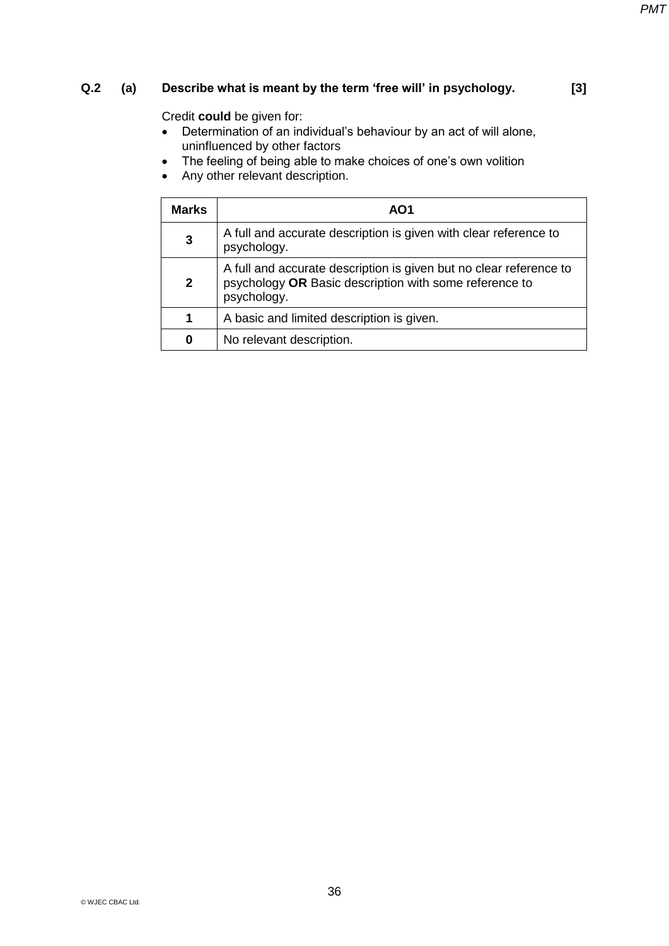## **Q.2** (a) Describe what is meant by the term 'free will' in psychology. [3]

- $\bullet$  Determination of an individual's behaviour by an act of will alone, uninfluenced by other factors
- The feeling of being able to make choices of one's own volition
- Any other relevant description.

| <b>Marks</b> | AO1                                                                                                                                         |
|--------------|---------------------------------------------------------------------------------------------------------------------------------------------|
| 3            | A full and accurate description is given with clear reference to<br>psychology.                                                             |
| $\mathbf{2}$ | A full and accurate description is given but no clear reference to<br>psychology OR Basic description with some reference to<br>psychology. |
| 1            | A basic and limited description is given.                                                                                                   |
| 0            | No relevant description.                                                                                                                    |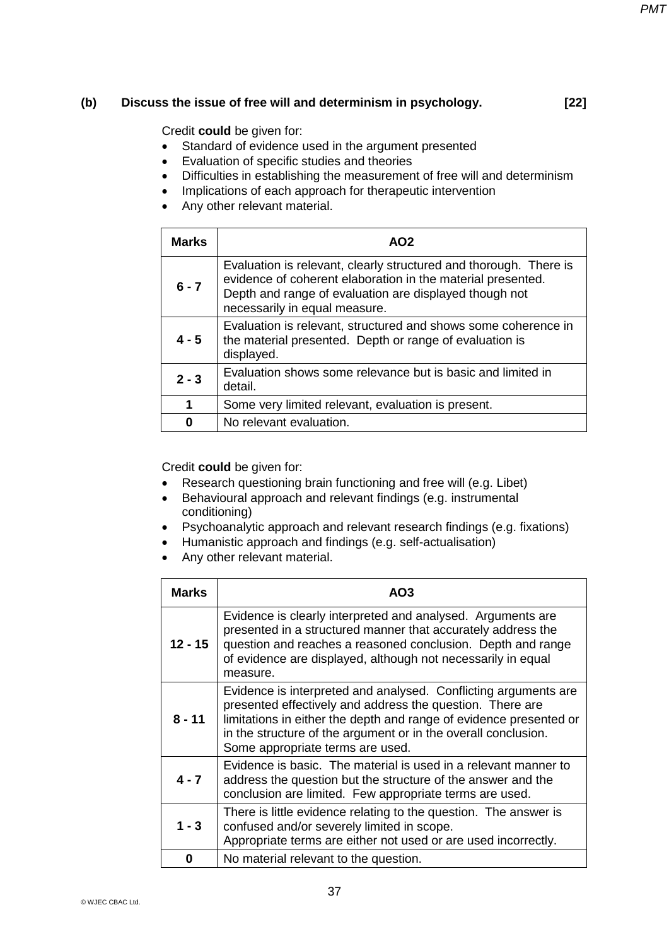### **(b) Discuss the issue of free will and determinism in psychology. [22]**

Credit **could** be given for:

- Standard of evidence used in the argument presented
- Evaluation of specific studies and theories
- Difficulties in establishing the measurement of free will and determinism
- Implications of each approach for therapeutic intervention
- Any other relevant material.

| <b>Marks</b> | AO2                                                                                                                                                                                                                         |
|--------------|-----------------------------------------------------------------------------------------------------------------------------------------------------------------------------------------------------------------------------|
| $6 - 7$      | Evaluation is relevant, clearly structured and thorough. There is<br>evidence of coherent elaboration in the material presented.<br>Depth and range of evaluation are displayed though not<br>necessarily in equal measure. |
| $4 - 5$      | Evaluation is relevant, structured and shows some coherence in<br>the material presented. Depth or range of evaluation is<br>displayed.                                                                                     |
| $2 - 3$      | Evaluation shows some relevance but is basic and limited in<br>detail.                                                                                                                                                      |
| 1            | Some very limited relevant, evaluation is present.                                                                                                                                                                          |
| ŋ            | No relevant evaluation.                                                                                                                                                                                                     |

- Research questioning brain functioning and free will (e.g. Libet)
- Behavioural approach and relevant findings (e.g. instrumental conditioning)
- Psychoanalytic approach and relevant research findings (e.g. fixations)
- Humanistic approach and findings (e.g. self-actualisation)
- Any other relevant material.

| <b>Marks</b> | AO <sub>3</sub>                                                                                                                                                                                                                                                                                          |
|--------------|----------------------------------------------------------------------------------------------------------------------------------------------------------------------------------------------------------------------------------------------------------------------------------------------------------|
| $12 - 15$    | Evidence is clearly interpreted and analysed. Arguments are<br>presented in a structured manner that accurately address the<br>question and reaches a reasoned conclusion. Depth and range<br>of evidence are displayed, although not necessarily in equal<br>measure.                                   |
| $8 - 11$     | Evidence is interpreted and analysed. Conflicting arguments are<br>presented effectively and address the question. There are<br>limitations in either the depth and range of evidence presented or<br>in the structure of the argument or in the overall conclusion.<br>Some appropriate terms are used. |
| $4 - 7$      | Evidence is basic. The material is used in a relevant manner to<br>address the question but the structure of the answer and the<br>conclusion are limited. Few appropriate terms are used.                                                                                                               |
| $1 - 3$      | There is little evidence relating to the question. The answer is<br>confused and/or severely limited in scope.<br>Appropriate terms are either not used or are used incorrectly.                                                                                                                         |
| O            | No material relevant to the question.                                                                                                                                                                                                                                                                    |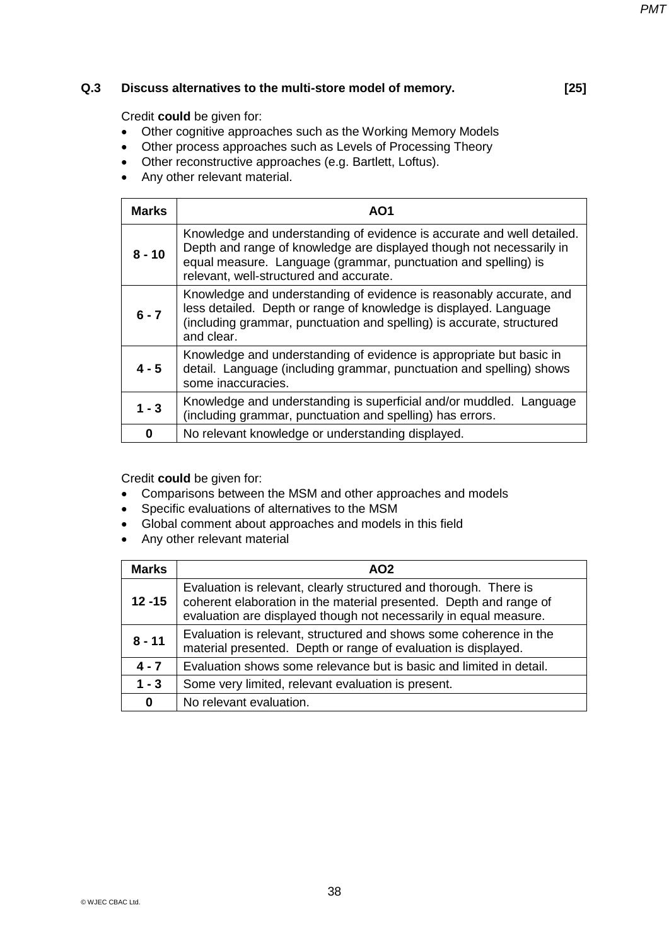### **Q.3 Discuss alternatives to the multi-store model of memory. [25]**

*PMT*

Credit **could** be given for:

- Other cognitive approaches such as the Working Memory Models
- Other process approaches such as Levels of Processing Theory
- Other reconstructive approaches (e.g. Bartlett, Loftus).
- Any other relevant material.

| <b>Marks</b> | AO1                                                                                                                                                                                                                                                         |
|--------------|-------------------------------------------------------------------------------------------------------------------------------------------------------------------------------------------------------------------------------------------------------------|
| $8 - 10$     | Knowledge and understanding of evidence is accurate and well detailed.<br>Depth and range of knowledge are displayed though not necessarily in<br>equal measure. Language (grammar, punctuation and spelling) is<br>relevant, well-structured and accurate. |
| $6 - 7$      | Knowledge and understanding of evidence is reasonably accurate, and<br>less detailed. Depth or range of knowledge is displayed. Language<br>(including grammar, punctuation and spelling) is accurate, structured<br>and clear.                             |
| $4 - 5$      | Knowledge and understanding of evidence is appropriate but basic in<br>detail. Language (including grammar, punctuation and spelling) shows<br>some inaccuracies.                                                                                           |
| $1 - 3$      | Knowledge and understanding is superficial and/or muddled. Language<br>(including grammar, punctuation and spelling) has errors.                                                                                                                            |
| 0            | No relevant knowledge or understanding displayed.                                                                                                                                                                                                           |

- Comparisons between the MSM and other approaches and models
- Specific evaluations of alternatives to the MSM
- Global comment about approaches and models in this field
- Any other relevant material

| <b>Marks</b> | AO <sub>2</sub>                                                                                                                                                                                              |
|--------------|--------------------------------------------------------------------------------------------------------------------------------------------------------------------------------------------------------------|
| $12 - 15$    | Evaluation is relevant, clearly structured and thorough. There is<br>coherent elaboration in the material presented. Depth and range of<br>evaluation are displayed though not necessarily in equal measure. |
| $8 - 11$     | Evaluation is relevant, structured and shows some coherence in the<br>material presented. Depth or range of evaluation is displayed.                                                                         |
| $4 - 7$      | Evaluation shows some relevance but is basic and limited in detail.                                                                                                                                          |
| $1 - 3$      | Some very limited, relevant evaluation is present.                                                                                                                                                           |
| 0            | No relevant evaluation.                                                                                                                                                                                      |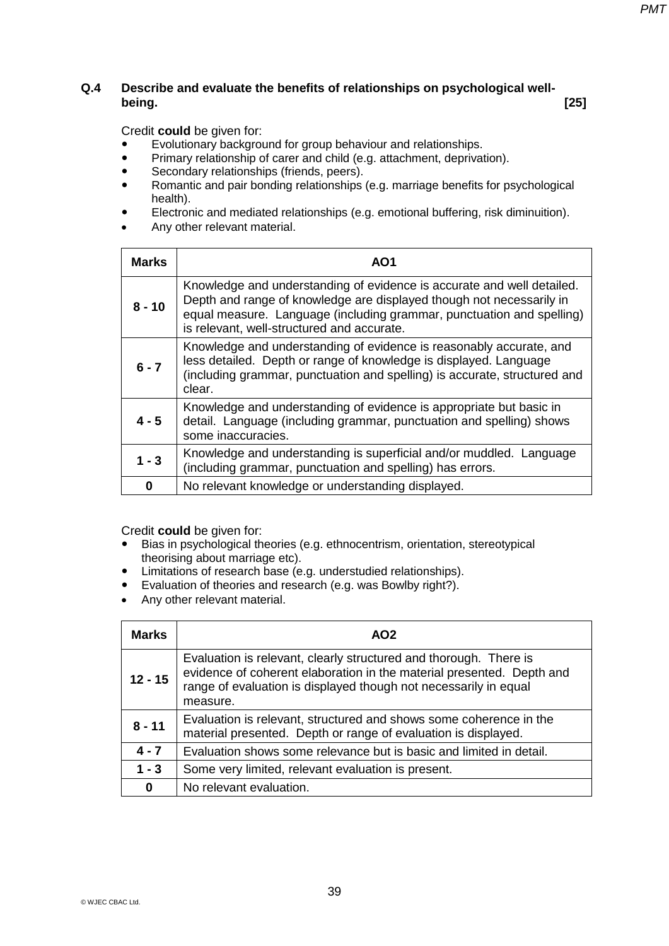### **Q.4 Describe and evaluate the benefits of relationships on psychological wellbeing. [25]**

Credit **could** be given for:

- Evolutionary background for group behaviour and relationships.
- Primary relationship of carer and child (e.g. attachment, deprivation).
- Secondary relationships (friends, peers).
- Romantic and pair bonding relationships (e.g. marriage benefits for psychological health).
- Electronic and mediated relationships (e.g. emotional buffering, risk diminuition).
- Any other relevant material.

| <b>Marks</b> | AO1                                                                                                                                                                                                                                                                   |
|--------------|-----------------------------------------------------------------------------------------------------------------------------------------------------------------------------------------------------------------------------------------------------------------------|
| $8 - 10$     | Knowledge and understanding of evidence is accurate and well detailed.<br>Depth and range of knowledge are displayed though not necessarily in<br>equal measure. Language (including grammar, punctuation and spelling)<br>is relevant, well-structured and accurate. |
| $6 - 7$      | Knowledge and understanding of evidence is reasonably accurate, and<br>less detailed. Depth or range of knowledge is displayed. Language<br>(including grammar, punctuation and spelling) is accurate, structured and<br>clear.                                       |
| $4 - 5$      | Knowledge and understanding of evidence is appropriate but basic in<br>detail. Language (including grammar, punctuation and spelling) shows<br>some inaccuracies.                                                                                                     |
| $1 - 3$      | Knowledge and understanding is superficial and/or muddled. Language<br>(including grammar, punctuation and spelling) has errors.                                                                                                                                      |
| 0            | No relevant knowledge or understanding displayed.                                                                                                                                                                                                                     |

- Bias in psychological theories (e.g. ethnocentrism, orientation, stereotypical theorising about marriage etc).
- Limitations of research base (e.g. understudied relationships).<br>• Evaluation of theories and research (e.g. was Bowlby right?).
- Evaluation of theories and research (e.g. was Bowlby right?).
- Any other relevant material.

| <b>Marks</b> | AO <sub>2</sub>                                                                                                                                                                                                            |
|--------------|----------------------------------------------------------------------------------------------------------------------------------------------------------------------------------------------------------------------------|
| $12 - 15$    | Evaluation is relevant, clearly structured and thorough. There is<br>evidence of coherent elaboration in the material presented. Depth and<br>range of evaluation is displayed though not necessarily in equal<br>measure. |
| $8 - 11$     | Evaluation is relevant, structured and shows some coherence in the<br>material presented. Depth or range of evaluation is displayed.                                                                                       |
| $4 - 7$      | Evaluation shows some relevance but is basic and limited in detail.                                                                                                                                                        |
| $1 - 3$      | Some very limited, relevant evaluation is present.                                                                                                                                                                         |
| 0            | No relevant evaluation.                                                                                                                                                                                                    |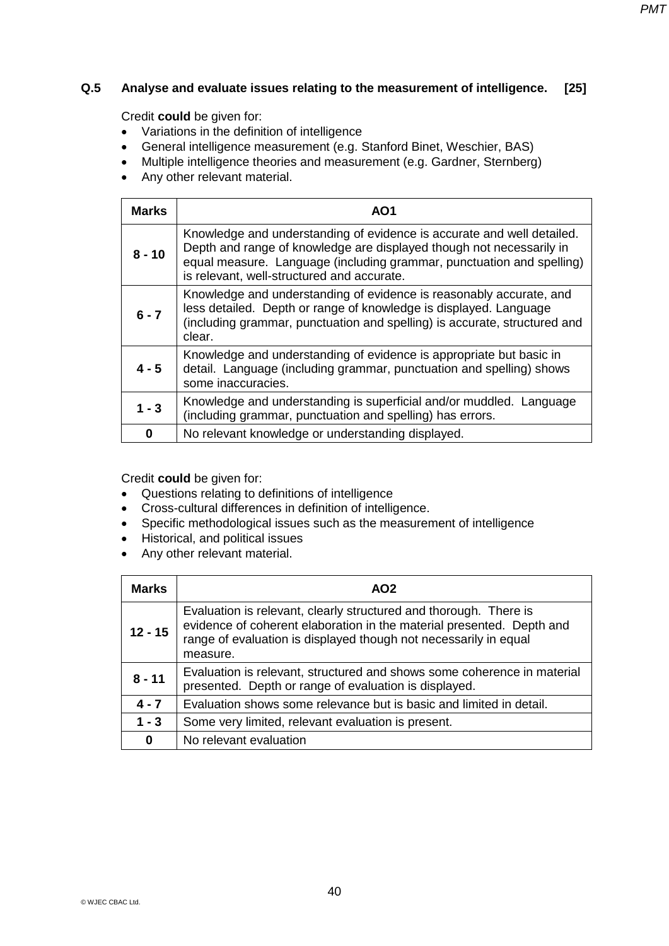### **Q.5 Analyse and evaluate issues relating to the measurement of intelligence. [25]**

Credit **could** be given for:

- Variations in the definition of intelligence
- General intelligence measurement (e.g. Stanford Binet, Weschier, BAS)
- Multiple intelligence theories and measurement (e.g. Gardner, Sternberg)
- Any other relevant material.

| <b>Marks</b> | AO1                                                                                                                                                                                                                                                                   |
|--------------|-----------------------------------------------------------------------------------------------------------------------------------------------------------------------------------------------------------------------------------------------------------------------|
| $8 - 10$     | Knowledge and understanding of evidence is accurate and well detailed.<br>Depth and range of knowledge are displayed though not necessarily in<br>equal measure. Language (including grammar, punctuation and spelling)<br>is relevant, well-structured and accurate. |
| $6 - 7$      | Knowledge and understanding of evidence is reasonably accurate, and<br>less detailed. Depth or range of knowledge is displayed. Language<br>(including grammar, punctuation and spelling) is accurate, structured and<br>clear.                                       |
| $4 - 5$      | Knowledge and understanding of evidence is appropriate but basic in<br>detail. Language (including grammar, punctuation and spelling) shows<br>some inaccuracies.                                                                                                     |
| $1 - 3$      | Knowledge and understanding is superficial and/or muddled. Language<br>(including grammar, punctuation and spelling) has errors.                                                                                                                                      |
| O            | No relevant knowledge or understanding displayed.                                                                                                                                                                                                                     |

Credit **could** be given for:

- Questions relating to definitions of intelligence
- Cross-cultural differences in definition of intelligence.
- Specific methodological issues such as the measurement of intelligence
- Historical, and political issues
- Any other relevant material.

| <b>Marks</b> | AO <sub>2</sub>                                                                                                                                                                                                            |
|--------------|----------------------------------------------------------------------------------------------------------------------------------------------------------------------------------------------------------------------------|
| $12 - 15$    | Evaluation is relevant, clearly structured and thorough. There is<br>evidence of coherent elaboration in the material presented. Depth and<br>range of evaluation is displayed though not necessarily in equal<br>measure. |
| $8 - 11$     | Evaluation is relevant, structured and shows some coherence in material<br>presented. Depth or range of evaluation is displayed.                                                                                           |
| $4 - 7$      | Evaluation shows some relevance but is basic and limited in detail.                                                                                                                                                        |
| $1 - 3$      | Some very limited, relevant evaluation is present.                                                                                                                                                                         |
| 0            | No relevant evaluation                                                                                                                                                                                                     |

*PMT*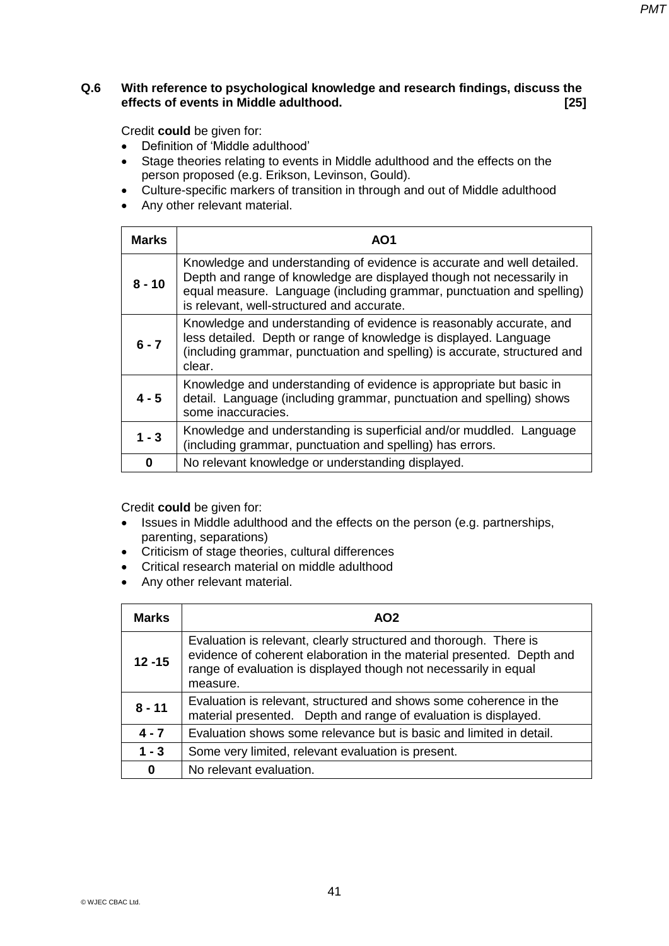### **Q.6 With reference to psychological knowledge and research findings, discuss the effects of events in Middle adulthood. [25]**

Credit **could** be given for:

- Definition of 'Middle adulthood'
- Stage theories relating to events in Middle adulthood and the effects on the person proposed (e.g. Erikson, Levinson, Gould).
- Culture-specific markers of transition in through and out of Middle adulthood
- Any other relevant material.

| <b>Marks</b> | AO1                                                                                                                                                                                                                                                                   |
|--------------|-----------------------------------------------------------------------------------------------------------------------------------------------------------------------------------------------------------------------------------------------------------------------|
| $8 - 10$     | Knowledge and understanding of evidence is accurate and well detailed.<br>Depth and range of knowledge are displayed though not necessarily in<br>equal measure. Language (including grammar, punctuation and spelling)<br>is relevant, well-structured and accurate. |
| $6 - 7$      | Knowledge and understanding of evidence is reasonably accurate, and<br>less detailed. Depth or range of knowledge is displayed. Language<br>(including grammar, punctuation and spelling) is accurate, structured and<br>clear.                                       |
| $4 - 5$      | Knowledge and understanding of evidence is appropriate but basic in<br>detail. Language (including grammar, punctuation and spelling) shows<br>some inaccuracies.                                                                                                     |
| $1 - 3$      | Knowledge and understanding is superficial and/or muddled. Language<br>(including grammar, punctuation and spelling) has errors.                                                                                                                                      |
| 0            | No relevant knowledge or understanding displayed.                                                                                                                                                                                                                     |

- Issues in Middle adulthood and the effects on the person (e.g. partnerships, parenting, separations)
- Criticism of stage theories, cultural differences
- Critical research material on middle adulthood
- Any other relevant material.

| Marks     | AO <sub>2</sub>                                                                                                                                                                                                            |
|-----------|----------------------------------------------------------------------------------------------------------------------------------------------------------------------------------------------------------------------------|
| $12 - 15$ | Evaluation is relevant, clearly structured and thorough. There is<br>evidence of coherent elaboration in the material presented. Depth and<br>range of evaluation is displayed though not necessarily in equal<br>measure. |
| $8 - 11$  | Evaluation is relevant, structured and shows some coherence in the<br>material presented. Depth and range of evaluation is displayed.                                                                                      |
| $4 - 7$   | Evaluation shows some relevance but is basic and limited in detail.                                                                                                                                                        |
| $1 - 3$   | Some very limited, relevant evaluation is present.                                                                                                                                                                         |
| $\bf{0}$  | No relevant evaluation.                                                                                                                                                                                                    |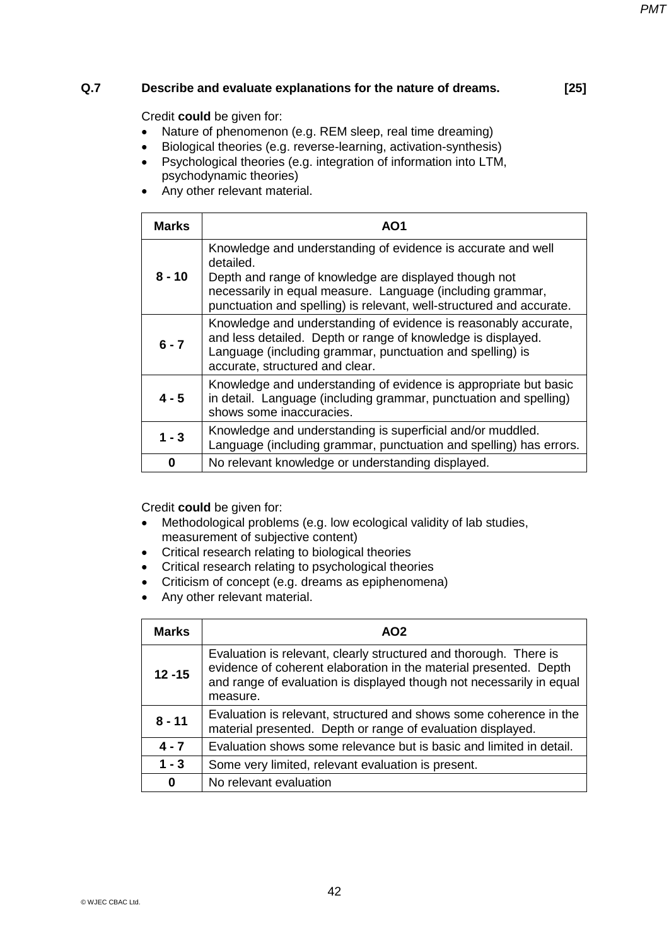# *PMT*

### **Q.7 Describe and evaluate explanations for the nature of dreams. [25]**

Credit **could** be given for:

- Nature of phenomenon (e.g. REM sleep, real time dreaming)
- Biological theories (e.g. reverse-learning, activation-synthesis)
- Psychological theories (e.g. integration of information into LTM, psychodynamic theories)
- Any other relevant material.

| <b>Marks</b> | AO1                                                                                                                                                                                                                                                                      |
|--------------|--------------------------------------------------------------------------------------------------------------------------------------------------------------------------------------------------------------------------------------------------------------------------|
| $8 - 10$     | Knowledge and understanding of evidence is accurate and well<br>detailed.<br>Depth and range of knowledge are displayed though not<br>necessarily in equal measure. Language (including grammar,<br>punctuation and spelling) is relevant, well-structured and accurate. |
| $6 - 7$      | Knowledge and understanding of evidence is reasonably accurate,<br>and less detailed. Depth or range of knowledge is displayed.<br>Language (including grammar, punctuation and spelling) is<br>accurate, structured and clear.                                          |
| $4 - 5$      | Knowledge and understanding of evidence is appropriate but basic<br>in detail. Language (including grammar, punctuation and spelling)<br>shows some inaccuracies.                                                                                                        |
| $1 - 3$      | Knowledge and understanding is superficial and/or muddled.<br>Language (including grammar, punctuation and spelling) has errors.                                                                                                                                         |
| 0            | No relevant knowledge or understanding displayed.                                                                                                                                                                                                                        |

- Methodological problems (e.g. low ecological validity of lab studies, measurement of subjective content)
- Critical research relating to biological theories
- Critical research relating to psychological theories
- Criticism of concept (e.g. dreams as epiphenomena)
- Any other relevant material.

| <b>Marks</b> | AO <sub>2</sub>                                                                                                                                                                                                            |
|--------------|----------------------------------------------------------------------------------------------------------------------------------------------------------------------------------------------------------------------------|
| $12 - 15$    | Evaluation is relevant, clearly structured and thorough. There is<br>evidence of coherent elaboration in the material presented. Depth<br>and range of evaluation is displayed though not necessarily in equal<br>measure. |
| $8 - 11$     | Evaluation is relevant, structured and shows some coherence in the<br>material presented. Depth or range of evaluation displayed.                                                                                          |
| $4 - 7$      | Evaluation shows some relevance but is basic and limited in detail.                                                                                                                                                        |
| $1 - 3$      | Some very limited, relevant evaluation is present.                                                                                                                                                                         |
| 0            | No relevant evaluation                                                                                                                                                                                                     |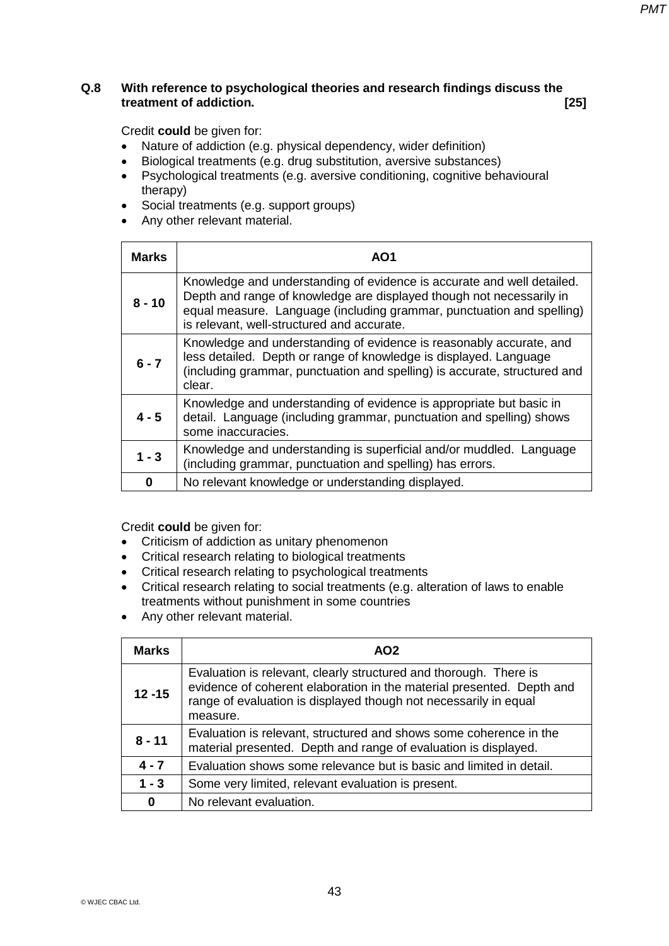### **Q.8 With reference to psychological theories and research findings discuss the treatment of addiction. [25]**

Credit **could** be given for:

- Nature of addiction (e.g. physical dependency, wider definition)
- Biological treatments (e.g. drug substitution, aversive substances)
- Psychological treatments (e.g. aversive conditioning, cognitive behavioural therapy)
- Social treatments (e.g. support groups)
- Any other relevant material.

| <b>Marks</b> | AO1                                                                                                                                                                                                                                                                   |
|--------------|-----------------------------------------------------------------------------------------------------------------------------------------------------------------------------------------------------------------------------------------------------------------------|
| $8 - 10$     | Knowledge and understanding of evidence is accurate and well detailed.<br>Depth and range of knowledge are displayed though not necessarily in<br>equal measure. Language (including grammar, punctuation and spelling)<br>is relevant, well-structured and accurate. |
| $6 - 7$      | Knowledge and understanding of evidence is reasonably accurate, and<br>less detailed. Depth or range of knowledge is displayed. Language<br>(including grammar, punctuation and spelling) is accurate, structured and<br>clear.                                       |
| $4 - 5$      | Knowledge and understanding of evidence is appropriate but basic in<br>detail. Language (including grammar, punctuation and spelling) shows<br>some inaccuracies.                                                                                                     |
| $1 - 3$      | Knowledge and understanding is superficial and/or muddled. Language<br>(including grammar, punctuation and spelling) has errors.                                                                                                                                      |
| 0            | No relevant knowledge or understanding displayed.                                                                                                                                                                                                                     |

- Criticism of addiction as unitary phenomenon
- Critical research relating to biological treatments
- Critical research relating to psychological treatments
- Critical research relating to social treatments (e.g. alteration of laws to enable treatments without punishment in some countries
- Any other relevant material.

| <b>Marks</b> | AO <sub>2</sub>                                                                                                                                                                                                            |
|--------------|----------------------------------------------------------------------------------------------------------------------------------------------------------------------------------------------------------------------------|
| $12 - 15$    | Evaluation is relevant, clearly structured and thorough. There is<br>evidence of coherent elaboration in the material presented. Depth and<br>range of evaluation is displayed though not necessarily in equal<br>measure. |
| $8 - 11$     | Evaluation is relevant, structured and shows some coherence in the<br>material presented. Depth and range of evaluation is displayed.                                                                                      |
| $4 - 7$      | Evaluation shows some relevance but is basic and limited in detail.                                                                                                                                                        |
| $1 - 3$      | Some very limited, relevant evaluation is present.                                                                                                                                                                         |
| $\bf{0}$     | No relevant evaluation.                                                                                                                                                                                                    |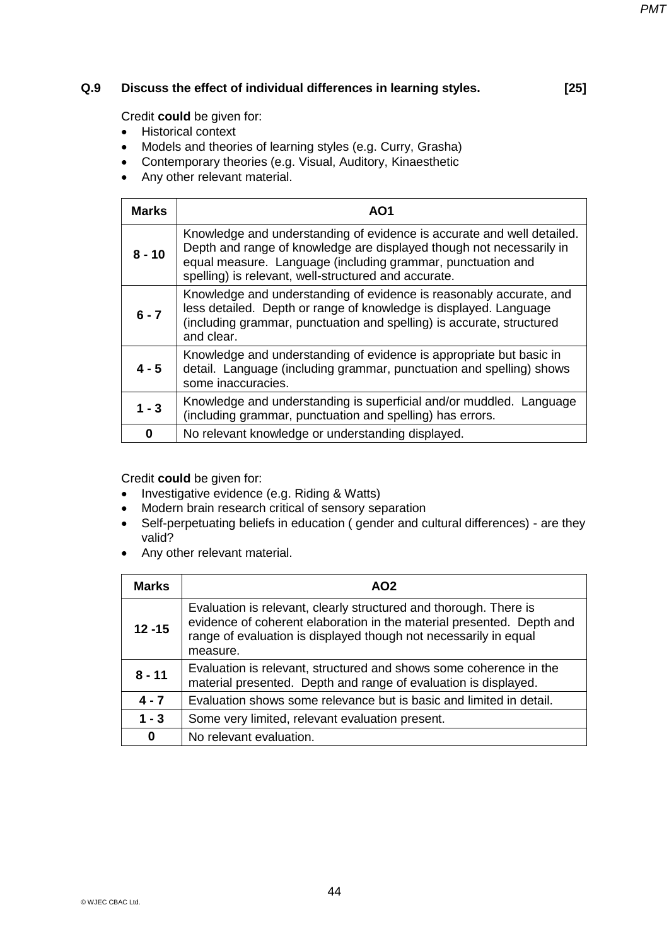### **Q.9 Discuss the effect of individual differences in learning styles. [25]**

Credit **could** be given for:

- $\bullet$  Historical context
- Models and theories of learning styles (e.g. Curry, Grasha)
- Contemporary theories (e.g. Visual, Auditory, Kinaesthetic
- Any other relevant material.

| <b>Marks</b> | AO1                                                                                                                                                                                                                                                                   |
|--------------|-----------------------------------------------------------------------------------------------------------------------------------------------------------------------------------------------------------------------------------------------------------------------|
| $8 - 10$     | Knowledge and understanding of evidence is accurate and well detailed.<br>Depth and range of knowledge are displayed though not necessarily in<br>equal measure. Language (including grammar, punctuation and<br>spelling) is relevant, well-structured and accurate. |
| $6 - 7$      | Knowledge and understanding of evidence is reasonably accurate, and<br>less detailed. Depth or range of knowledge is displayed. Language<br>(including grammar, punctuation and spelling) is accurate, structured<br>and clear.                                       |
| $4 - 5$      | Knowledge and understanding of evidence is appropriate but basic in<br>detail. Language (including grammar, punctuation and spelling) shows<br>some inaccuracies.                                                                                                     |
| $1 - 3$      | Knowledge and understanding is superficial and/or muddled. Language<br>(including grammar, punctuation and spelling) has errors.                                                                                                                                      |
| 0            | No relevant knowledge or understanding displayed.                                                                                                                                                                                                                     |

- Investigative evidence (e.g. Riding & Watts)
- Modern brain research critical of sensory separation
- Self-perpetuating beliefs in education ( gender and cultural differences) are they valid?
- Any other relevant material.

| <b>Marks</b> | AO <sub>2</sub>                                                                                                                                                                                                            |
|--------------|----------------------------------------------------------------------------------------------------------------------------------------------------------------------------------------------------------------------------|
| $12 - 15$    | Evaluation is relevant, clearly structured and thorough. There is<br>evidence of coherent elaboration in the material presented. Depth and<br>range of evaluation is displayed though not necessarily in equal<br>measure. |
| $8 - 11$     | Evaluation is relevant, structured and shows some coherence in the<br>material presented. Depth and range of evaluation is displayed.                                                                                      |
| $4 - 7$      | Evaluation shows some relevance but is basic and limited in detail.                                                                                                                                                        |
| $1 - 3$      | Some very limited, relevant evaluation present.                                                                                                                                                                            |
| 0            | No relevant evaluation.                                                                                                                                                                                                    |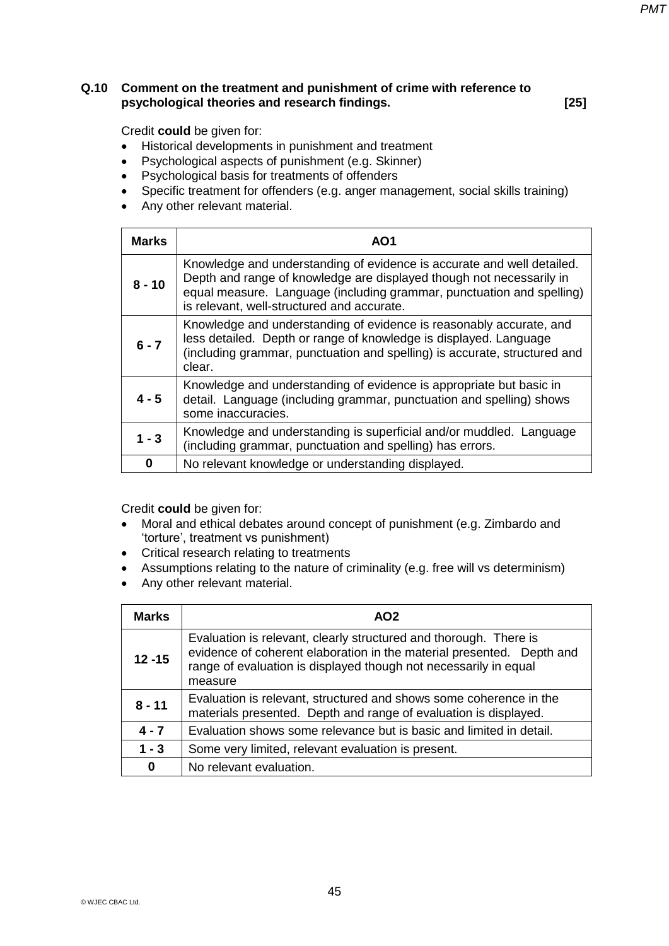### **Q.10 Comment on the treatment and punishment of crime with reference to psychological theories and research findings. [25]**

Credit **could** be given for:

- Historical developments in punishment and treatment
- Psychological aspects of punishment (e.g. Skinner)
- Psychological basis for treatments of offenders
- Specific treatment for offenders (e.g. anger management, social skills training)
- Any other relevant material.

| <b>Marks</b> | AO1                                                                                                                                                                                                                                                                   |
|--------------|-----------------------------------------------------------------------------------------------------------------------------------------------------------------------------------------------------------------------------------------------------------------------|
| $8 - 10$     | Knowledge and understanding of evidence is accurate and well detailed.<br>Depth and range of knowledge are displayed though not necessarily in<br>equal measure. Language (including grammar, punctuation and spelling)<br>is relevant, well-structured and accurate. |
| $6 - 7$      | Knowledge and understanding of evidence is reasonably accurate, and<br>less detailed. Depth or range of knowledge is displayed. Language<br>(including grammar, punctuation and spelling) is accurate, structured and<br>clear.                                       |
| $4 - 5$      | Knowledge and understanding of evidence is appropriate but basic in<br>detail. Language (including grammar, punctuation and spelling) shows<br>some inaccuracies.                                                                                                     |
| $1 - 3$      | Knowledge and understanding is superficial and/or muddled. Language<br>(including grammar, punctuation and spelling) has errors.                                                                                                                                      |
| 0            | No relevant knowledge or understanding displayed.                                                                                                                                                                                                                     |

- Moral and ethical debates around concept of punishment (e.g. Zimbardo and 'torture', treatment vs punishment)
- Critical research relating to treatments
- Assumptions relating to the nature of criminality (e.g. free will vs determinism)
- Any other relevant material.

| <b>Marks</b> | AO <sub>2</sub>                                                                                                                                                                                                           |
|--------------|---------------------------------------------------------------------------------------------------------------------------------------------------------------------------------------------------------------------------|
| $12 - 15$    | Evaluation is relevant, clearly structured and thorough. There is<br>evidence of coherent elaboration in the material presented. Depth and<br>range of evaluation is displayed though not necessarily in equal<br>measure |
| $8 - 11$     | Evaluation is relevant, structured and shows some coherence in the<br>materials presented. Depth and range of evaluation is displayed.                                                                                    |
| $4 - 7$      | Evaluation shows some relevance but is basic and limited in detail.                                                                                                                                                       |
| $1 - 3$      | Some very limited, relevant evaluation is present.                                                                                                                                                                        |
| $\bf{0}$     | No relevant evaluation.                                                                                                                                                                                                   |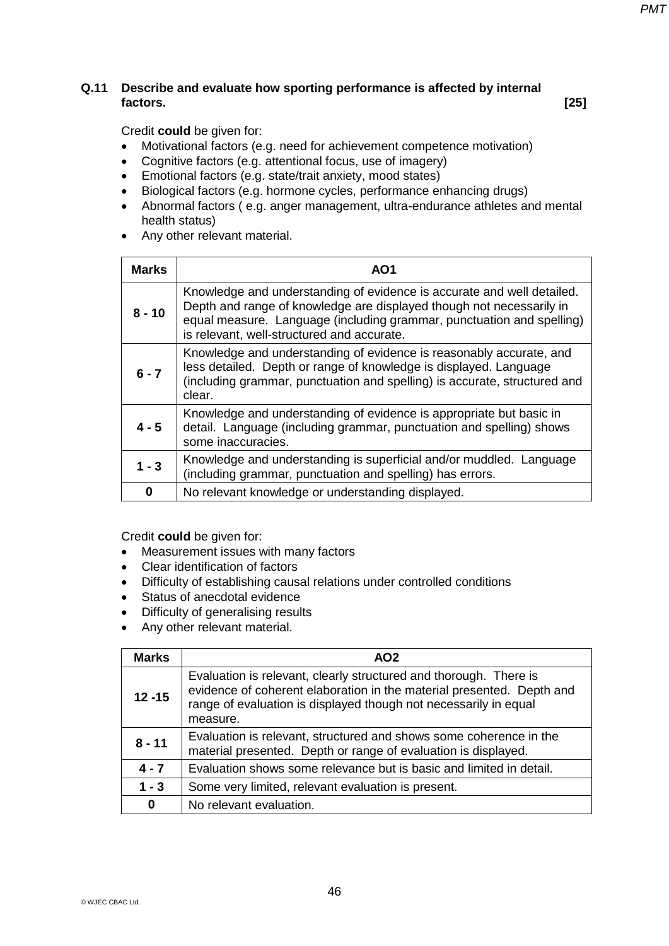### **Q.11 Describe and evaluate how sporting performance is affected by internal factors. [25]**

Credit **could** be given for:

- Motivational factors (e.g. need for achievement competence motivation)
- Cognitive factors (e.g. attentional focus, use of imagery)
- Emotional factors (e.g. state/trait anxiety, mood states)
- Biological factors (e.g. hormone cycles, performance enhancing drugs)
- Abnormal factors ( e.g. anger management, ultra-endurance athletes and mental health status)
- Any other relevant material.

| <b>Marks</b> | AO1                                                                                                                                                                                                                                                                   |
|--------------|-----------------------------------------------------------------------------------------------------------------------------------------------------------------------------------------------------------------------------------------------------------------------|
| $8 - 10$     | Knowledge and understanding of evidence is accurate and well detailed.<br>Depth and range of knowledge are displayed though not necessarily in<br>equal measure. Language (including grammar, punctuation and spelling)<br>is relevant, well-structured and accurate. |
| $6 - 7$      | Knowledge and understanding of evidence is reasonably accurate, and<br>less detailed. Depth or range of knowledge is displayed. Language<br>(including grammar, punctuation and spelling) is accurate, structured and<br>clear.                                       |
| $4 - 5$      | Knowledge and understanding of evidence is appropriate but basic in<br>detail. Language (including grammar, punctuation and spelling) shows<br>some inaccuracies.                                                                                                     |
| $1 - 3$      | Knowledge and understanding is superficial and/or muddled. Language<br>(including grammar, punctuation and spelling) has errors.                                                                                                                                      |
| 0            | No relevant knowledge or understanding displayed.                                                                                                                                                                                                                     |

- Measurement issues with many factors
- Clear identification of factors
- Difficulty of establishing causal relations under controlled conditions
- Status of anecdotal evidence
- Difficulty of generalising results
- Any other relevant material.

| <b>Marks</b> | AO <sub>2</sub>                                                                                                                                                                                                            |
|--------------|----------------------------------------------------------------------------------------------------------------------------------------------------------------------------------------------------------------------------|
| $12 - 15$    | Evaluation is relevant, clearly structured and thorough. There is<br>evidence of coherent elaboration in the material presented. Depth and<br>range of evaluation is displayed though not necessarily in equal<br>measure. |
| $8 - 11$     | Evaluation is relevant, structured and shows some coherence in the<br>material presented. Depth or range of evaluation is displayed.                                                                                       |
| $4 - 7$      | Evaluation shows some relevance but is basic and limited in detail.                                                                                                                                                        |
| $1 - 3$      | Some very limited, relevant evaluation is present.                                                                                                                                                                         |
| $\bf{0}$     | No relevant evaluation.                                                                                                                                                                                                    |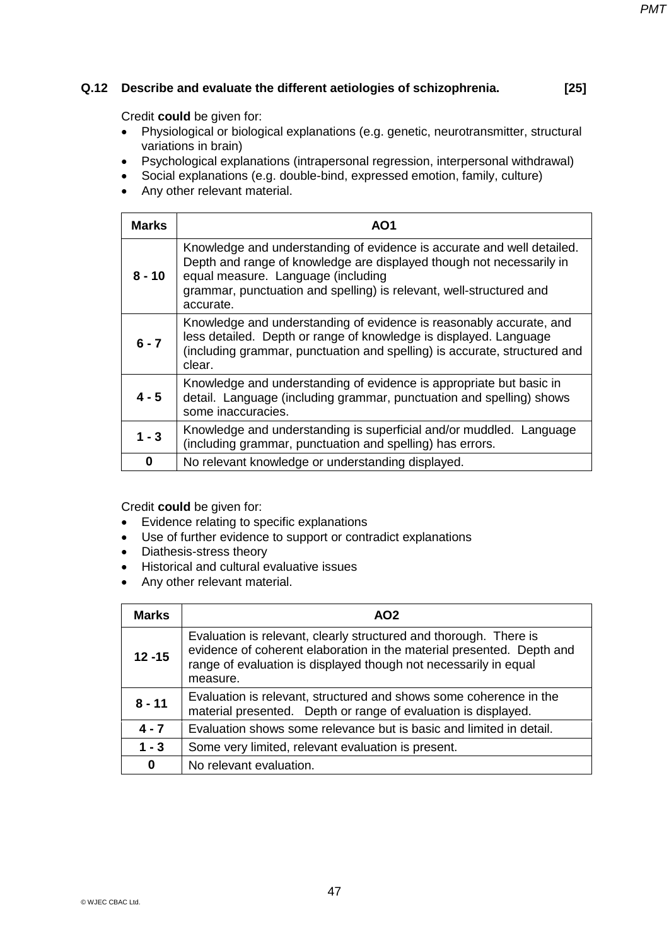### **Q.12 Describe and evaluate the different aetiologies of schizophrenia. [25]**

*PMT*

Credit **could** be given for:

- Physiological or biological explanations (e.g. genetic, neurotransmitter, structural variations in brain)
- Psychological explanations (intrapersonal regression, interpersonal withdrawal)
- Social explanations (e.g. double-bind, expressed emotion, family, culture)
- Any other relevant material.

| <b>Marks</b> | AO1                                                                                                                                                                                                                                                                      |
|--------------|--------------------------------------------------------------------------------------------------------------------------------------------------------------------------------------------------------------------------------------------------------------------------|
| $8 - 10$     | Knowledge and understanding of evidence is accurate and well detailed.<br>Depth and range of knowledge are displayed though not necessarily in<br>equal measure. Language (including<br>grammar, punctuation and spelling) is relevant, well-structured and<br>accurate. |
| $6 - 7$      | Knowledge and understanding of evidence is reasonably accurate, and<br>less detailed. Depth or range of knowledge is displayed. Language<br>(including grammar, punctuation and spelling) is accurate, structured and<br>clear.                                          |
| $4 - 5$      | Knowledge and understanding of evidence is appropriate but basic in<br>detail. Language (including grammar, punctuation and spelling) shows<br>some inaccuracies.                                                                                                        |
| $1 - 3$      | Knowledge and understanding is superficial and/or muddled. Language<br>(including grammar, punctuation and spelling) has errors.                                                                                                                                         |
| 0            | No relevant knowledge or understanding displayed.                                                                                                                                                                                                                        |

- Evidence relating to specific explanations
- Use of further evidence to support or contradict explanations
- Diathesis-stress theory
- Historical and cultural evaluative issues
- Any other relevant material.

| <b>Marks</b> | AO <sub>2</sub>                                                                                                                                                                                                            |
|--------------|----------------------------------------------------------------------------------------------------------------------------------------------------------------------------------------------------------------------------|
| $12 - 15$    | Evaluation is relevant, clearly structured and thorough. There is<br>evidence of coherent elaboration in the material presented. Depth and<br>range of evaluation is displayed though not necessarily in equal<br>measure. |
| $8 - 11$     | Evaluation is relevant, structured and shows some coherence in the<br>material presented. Depth or range of evaluation is displayed.                                                                                       |
| $4 - 7$      | Evaluation shows some relevance but is basic and limited in detail.                                                                                                                                                        |
| $1 - 3$      | Some very limited, relevant evaluation is present.                                                                                                                                                                         |
| 0            | No relevant evaluation.                                                                                                                                                                                                    |